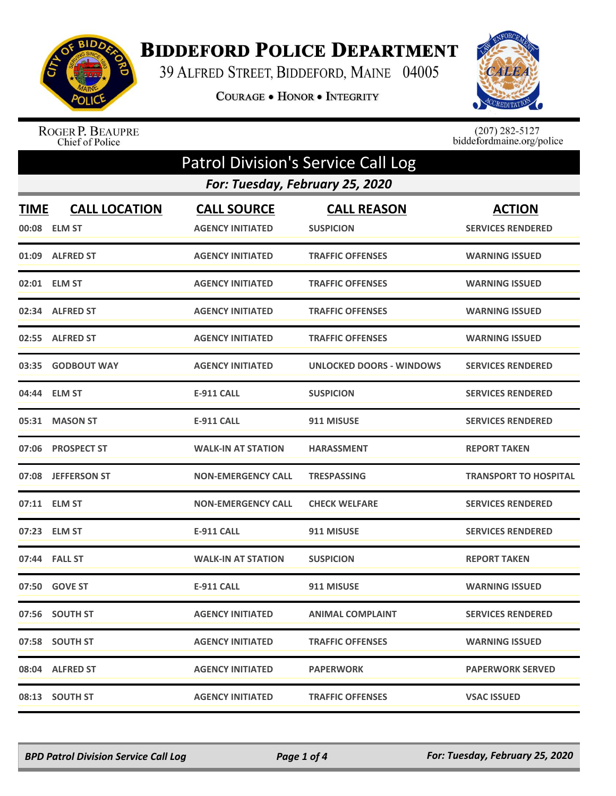

## **BIDDEFORD POLICE DEPARTMENT**

39 ALFRED STREET, BIDDEFORD, MAINE 04005

COURAGE . HONOR . INTEGRITY



ROGER P. BEAUPRE<br>Chief of Police

 $(207)$  282-5127<br>biddefordmaine.org/police

| <b>Patrol Division's Service Call Log</b> |                                      |                                               |                                        |                                           |  |  |
|-------------------------------------------|--------------------------------------|-----------------------------------------------|----------------------------------------|-------------------------------------------|--|--|
|                                           | For: Tuesday, February 25, 2020      |                                               |                                        |                                           |  |  |
| <b>TIME</b>                               | <b>CALL LOCATION</b><br>00:08 ELM ST | <b>CALL SOURCE</b><br><b>AGENCY INITIATED</b> | <b>CALL REASON</b><br><b>SUSPICION</b> | <b>ACTION</b><br><b>SERVICES RENDERED</b> |  |  |
|                                           | 01:09 ALFRED ST                      | <b>AGENCY INITIATED</b>                       | <b>TRAFFIC OFFENSES</b>                | <b>WARNING ISSUED</b>                     |  |  |
|                                           | 02:01 ELM ST                         | <b>AGENCY INITIATED</b>                       | <b>TRAFFIC OFFENSES</b>                | <b>WARNING ISSUED</b>                     |  |  |
|                                           | 02:34 ALFRED ST                      | <b>AGENCY INITIATED</b>                       | <b>TRAFFIC OFFENSES</b>                | <b>WARNING ISSUED</b>                     |  |  |
|                                           | 02:55 ALFRED ST                      | <b>AGENCY INITIATED</b>                       | <b>TRAFFIC OFFENSES</b>                | <b>WARNING ISSUED</b>                     |  |  |
|                                           | 03:35 GODBOUT WAY                    | <b>AGENCY INITIATED</b>                       | <b>UNLOCKED DOORS - WINDOWS</b>        | <b>SERVICES RENDERED</b>                  |  |  |
|                                           | 04:44 ELM ST                         | <b>E-911 CALL</b>                             | <b>SUSPICION</b>                       | <b>SERVICES RENDERED</b>                  |  |  |
| 05:31                                     | <b>MASON ST</b>                      | <b>E-911 CALL</b>                             | 911 MISUSE                             | <b>SERVICES RENDERED</b>                  |  |  |
|                                           | 07:06 PROSPECT ST                    | <b>WALK-IN AT STATION</b>                     | <b>HARASSMENT</b>                      | <b>REPORT TAKEN</b>                       |  |  |
|                                           | 07:08 JEFFERSON ST                   | <b>NON-EMERGENCY CALL</b>                     | <b>TRESPASSING</b>                     | <b>TRANSPORT TO HOSPITAL</b>              |  |  |
|                                           | 07:11 ELM ST                         | <b>NON-EMERGENCY CALL</b>                     | <b>CHECK WELFARE</b>                   | <b>SERVICES RENDERED</b>                  |  |  |
|                                           | 07:23 ELM ST                         | <b>E-911 CALL</b>                             | 911 MISUSE                             | <b>SERVICES RENDERED</b>                  |  |  |
|                                           | 07:44 FALL ST                        | <b>WALK-IN AT STATION</b>                     | <b>SUSPICION</b>                       | <b>REPORT TAKEN</b>                       |  |  |
|                                           | 07:50 GOVE ST                        | <b>E-911 CALL</b>                             | 911 MISUSE                             | <b>WARNING ISSUED</b>                     |  |  |
|                                           | 07:56 SOUTH ST                       | <b>AGENCY INITIATED</b>                       | <b>ANIMAL COMPLAINT</b>                | <b>SERVICES RENDERED</b>                  |  |  |
|                                           | 07:58 SOUTH ST                       | <b>AGENCY INITIATED</b>                       | <b>TRAFFIC OFFENSES</b>                | <b>WARNING ISSUED</b>                     |  |  |
|                                           | 08:04 ALFRED ST                      | <b>AGENCY INITIATED</b>                       | <b>PAPERWORK</b>                       | <b>PAPERWORK SERVED</b>                   |  |  |
|                                           | 08:13 SOUTH ST                       | <b>AGENCY INITIATED</b>                       | <b>TRAFFIC OFFENSES</b>                | <b>VSAC ISSUED</b>                        |  |  |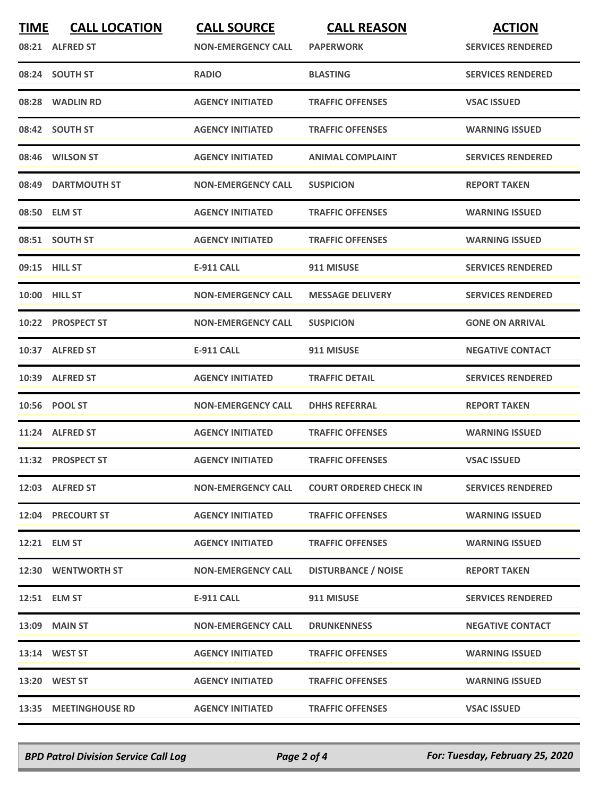| <b>TIME</b> | <b>CALL LOCATION</b><br>08:21 ALFRED ST | <b>CALL SOURCE</b><br><b>NON-EMERGENCY CALL</b> | <b>CALL REASON</b><br><b>PAPERWORK</b> | <b>ACTION</b><br><b>SERVICES RENDERED</b> |
|-------------|-----------------------------------------|-------------------------------------------------|----------------------------------------|-------------------------------------------|
|             | 08:24 SOUTH ST                          | <b>RADIO</b>                                    | <b>BLASTING</b>                        | <b>SERVICES RENDERED</b>                  |
|             | 08:28 WADLIN RD                         | <b>AGENCY INITIATED</b>                         | <b>TRAFFIC OFFENSES</b>                | <b>VSAC ISSUED</b>                        |
|             | 08:42 SOUTH ST                          | <b>AGENCY INITIATED</b>                         | <b>TRAFFIC OFFENSES</b>                | <b>WARNING ISSUED</b>                     |
|             | 08:46 WILSON ST                         | <b>AGENCY INITIATED</b>                         | <b>ANIMAL COMPLAINT</b>                | <b>SERVICES RENDERED</b>                  |
|             | 08:49 DARTMOUTH ST                      | <b>NON-EMERGENCY CALL</b>                       | <b>SUSPICION</b>                       | <b>REPORT TAKEN</b>                       |
|             | 08:50 ELM ST                            | <b>AGENCY INITIATED</b>                         | <b>TRAFFIC OFFENSES</b>                | <b>WARNING ISSUED</b>                     |
|             | 08:51 SOUTH ST                          | <b>AGENCY INITIATED</b>                         | <b>TRAFFIC OFFENSES</b>                | <b>WARNING ISSUED</b>                     |
|             | 09:15 HILL ST                           | <b>E-911 CALL</b>                               | 911 MISUSE                             | <b>SERVICES RENDERED</b>                  |
|             | 10:00 HILL ST                           | <b>NON-EMERGENCY CALL</b>                       | <b>MESSAGE DELIVERY</b>                | <b>SERVICES RENDERED</b>                  |
|             | 10:22 PROSPECT ST                       | <b>NON-EMERGENCY CALL</b>                       | <b>SUSPICION</b>                       | <b>GONE ON ARRIVAL</b>                    |
|             | 10:37 ALFRED ST                         | <b>E-911 CALL</b>                               | 911 MISUSE                             | <b>NEGATIVE CONTACT</b>                   |
|             | 10:39 ALFRED ST                         | <b>AGENCY INITIATED</b>                         | <b>TRAFFIC DETAIL</b>                  | <b>SERVICES RENDERED</b>                  |
|             | 10:56 POOL ST                           | <b>NON-EMERGENCY CALL</b>                       | <b>DHHS REFERRAL</b>                   | <b>REPORT TAKEN</b>                       |
|             | 11:24 ALFRED ST                         | <b>AGENCY INITIATED</b>                         | <b>TRAFFIC OFFENSES</b>                | <b>WARNING ISSUED</b>                     |
|             | 11:32 PROSPECT ST                       | <b>AGENCY INITIATED</b>                         | <b>TRAFFIC OFFENSES</b>                | <b>VSAC ISSUED</b>                        |
|             | 12:03 ALFRED ST                         | <b>NON-EMERGENCY CALL</b>                       | <b>COURT ORDERED CHECK IN</b>          | <b>SERVICES RENDERED</b>                  |
|             | 12:04 PRECOURT ST                       | <b>AGENCY INITIATED</b>                         | <b>TRAFFIC OFFENSES</b>                | <b>WARNING ISSUED</b>                     |
|             | 12:21 ELM ST                            | <b>AGENCY INITIATED</b>                         | <b>TRAFFIC OFFENSES</b>                | <b>WARNING ISSUED</b>                     |
|             | 12:30 WENTWORTH ST                      | <b>NON-EMERGENCY CALL</b>                       | <b>DISTURBANCE / NOISE</b>             | <b>REPORT TAKEN</b>                       |
|             | 12:51 ELM ST                            | E-911 CALL                                      | 911 MISUSE                             | <b>SERVICES RENDERED</b>                  |
|             | 13:09 MAIN ST                           | <b>NON-EMERGENCY CALL</b>                       | <b>DRUNKENNESS</b>                     | <b>NEGATIVE CONTACT</b>                   |
|             | 13:14 WEST ST                           | <b>AGENCY INITIATED</b>                         | <b>TRAFFIC OFFENSES</b>                | <b>WARNING ISSUED</b>                     |
|             | 13:20 WEST ST                           | <b>AGENCY INITIATED</b>                         | <b>TRAFFIC OFFENSES</b>                | <b>WARNING ISSUED</b>                     |
|             | 13:35 MEETINGHOUSE RD                   | <b>AGENCY INITIATED</b>                         | <b>TRAFFIC OFFENSES</b>                | <b>VSAC ISSUED</b>                        |

*BPD Patrol Division Service Call Log Page 2 of 4 For: Tuesday, February 25, 2020*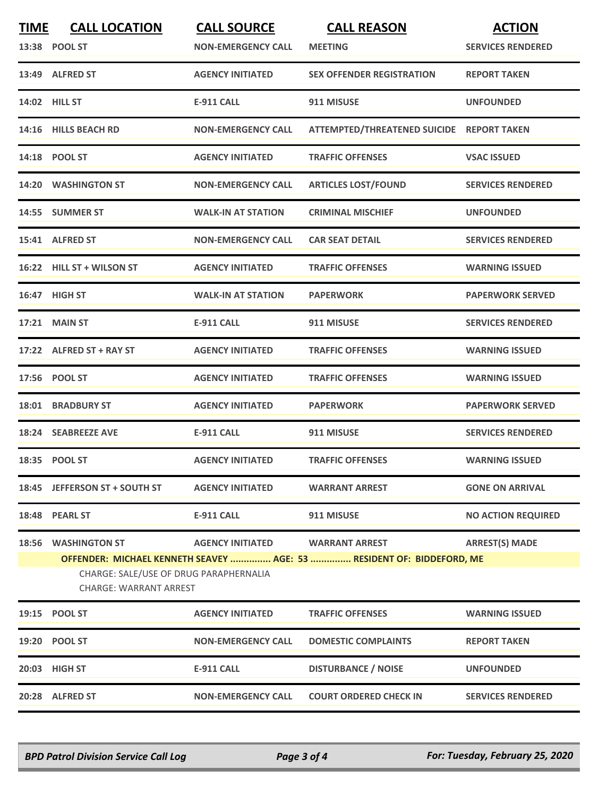| <b>TIME</b> | <b>CALL LOCATION</b>                                                    | <b>CALL SOURCE</b>        | <b>CALL REASON</b>                                                    | <b>ACTION</b>             |  |
|-------------|-------------------------------------------------------------------------|---------------------------|-----------------------------------------------------------------------|---------------------------|--|
|             | 13:38 POOL ST                                                           | <b>NON-EMERGENCY CALL</b> | <b>MEETING</b>                                                        | <b>SERVICES RENDERED</b>  |  |
|             | 13:49 ALFRED ST                                                         | <b>AGENCY INITIATED</b>   | <b>SEX OFFENDER REGISTRATION</b>                                      | <b>REPORT TAKEN</b>       |  |
|             | 14:02 HILL ST                                                           | <b>E-911 CALL</b>         | 911 MISUSE                                                            | <b>UNFOUNDED</b>          |  |
|             | 14:16 HILLS BEACH RD                                                    | <b>NON-EMERGENCY CALL</b> | ATTEMPTED/THREATENED SUICIDE REPORT TAKEN                             |                           |  |
|             | 14:18 POOL ST                                                           | <b>AGENCY INITIATED</b>   | <b>TRAFFIC OFFENSES</b>                                               | <b>VSAC ISSUED</b>        |  |
|             | 14:20 WASHINGTON ST                                                     | <b>NON-EMERGENCY CALL</b> | <b>ARTICLES LOST/FOUND</b>                                            | <b>SERVICES RENDERED</b>  |  |
|             | 14:55 SUMMER ST                                                         | <b>WALK-IN AT STATION</b> | <b>CRIMINAL MISCHIEF</b>                                              | <b>UNFOUNDED</b>          |  |
|             | 15:41 ALFRED ST                                                         | <b>NON-EMERGENCY CALL</b> | <b>CAR SEAT DETAIL</b>                                                | <b>SERVICES RENDERED</b>  |  |
|             | 16:22 HILL ST + WILSON ST                                               | <b>AGENCY INITIATED</b>   | <b>TRAFFIC OFFENSES</b>                                               | <b>WARNING ISSUED</b>     |  |
|             | 16:47 HIGH ST                                                           | <b>WALK-IN AT STATION</b> | <b>PAPERWORK</b>                                                      | <b>PAPERWORK SERVED</b>   |  |
| 17:21       | <b>MAIN ST</b>                                                          | <b>E-911 CALL</b>         | 911 MISUSE                                                            | <b>SERVICES RENDERED</b>  |  |
|             | 17:22 ALFRED ST + RAY ST                                                | <b>AGENCY INITIATED</b>   | <b>TRAFFIC OFFENSES</b>                                               | <b>WARNING ISSUED</b>     |  |
|             | 17:56 POOL ST                                                           | <b>AGENCY INITIATED</b>   | <b>TRAFFIC OFFENSES</b>                                               | <b>WARNING ISSUED</b>     |  |
|             | <b>18:01 BRADBURY ST</b>                                                | <b>AGENCY INITIATED</b>   | <b>PAPERWORK</b>                                                      | <b>PAPERWORK SERVED</b>   |  |
|             | 18:24 SEABREEZE AVE                                                     | <b>E-911 CALL</b>         | 911 MISUSE                                                            | <b>SERVICES RENDERED</b>  |  |
|             | 18:35 POOL ST                                                           | <b>AGENCY INITIATED</b>   | <b>TRAFFIC OFFENSES</b>                                               | <b>WARNING ISSUED</b>     |  |
|             | 18:45 JEFFERSON ST + SOUTH ST                                           | <b>AGENCY INITIATED</b>   | <b>WARRANT ARREST</b>                                                 | <b>GONE ON ARRIVAL</b>    |  |
|             | 18:48 PEARL ST                                                          | <b>E-911 CALL</b>         | 911 MISUSE                                                            | <b>NO ACTION REQUIRED</b> |  |
|             | <b>18:56 WASHINGTON ST</b>                                              | <b>AGENCY INITIATED</b>   | <b>WARRANT ARREST</b>                                                 | <b>ARREST(S) MADE</b>     |  |
|             |                                                                         |                           | OFFENDER: MICHAEL KENNETH SEAVEY  AGE: 53  RESIDENT OF: BIDDEFORD, ME |                           |  |
|             | CHARGE: SALE/USE OF DRUG PARAPHERNALIA<br><b>CHARGE: WARRANT ARREST</b> |                           |                                                                       |                           |  |
|             | 19:15 POOL ST                                                           | <b>AGENCY INITIATED</b>   | <b>TRAFFIC OFFENSES</b>                                               | <b>WARNING ISSUED</b>     |  |
|             | 19:20 POOL ST                                                           | <b>NON-EMERGENCY CALL</b> | <b>DOMESTIC COMPLAINTS</b>                                            | <b>REPORT TAKEN</b>       |  |
|             | 20:03 HIGH ST                                                           | E-911 CALL                | <b>DISTURBANCE / NOISE</b>                                            | <b>UNFOUNDED</b>          |  |
|             | 20:28 ALFRED ST                                                         | <b>NON-EMERGENCY CALL</b> | <b>COURT ORDERED CHECK IN</b>                                         | <b>SERVICES RENDERED</b>  |  |
|             |                                                                         |                           |                                                                       |                           |  |